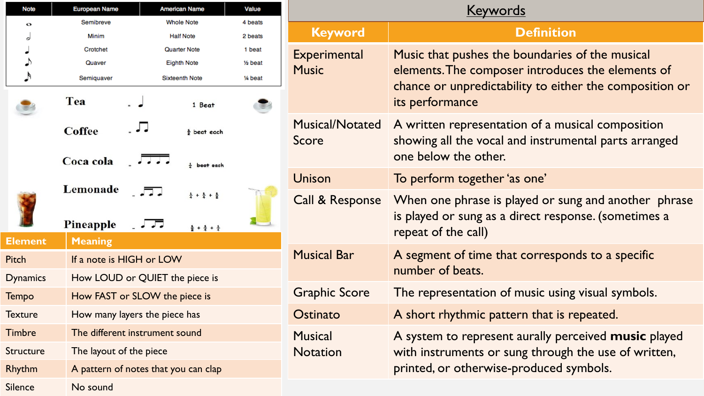| <b>Note</b>      | <b>European Name</b> |                                      | <b>American Name</b>                      | Value    |
|------------------|----------------------|--------------------------------------|-------------------------------------------|----------|
| o                | Semibreve            |                                      | <b>Whole Note</b>                         | 4 beats  |
| J                | Minim                |                                      | <b>Half Note</b>                          | 2 beats  |
|                  | Crotchet             |                                      | Quarter Note                              | 1 beat   |
| $\rightarrow$    | Quaver               |                                      | <b>Eighth Note</b>                        | 1⁄2 beat |
| $\blacktriangle$ | Semiquaver           |                                      | <b>Sixteenth Note</b>                     | 1⁄4 beat |
|                  | Tea                  |                                      | 1 Beat                                    |          |
|                  | <b>Coffee</b>        |                                      | $\frac{1}{2}$ beat each                   |          |
|                  | Coca cola            |                                      | $\frac{1}{4}$ beat each                   |          |
|                  | Lemonade             |                                      | $\frac{1}{4} + \frac{1}{4} + \frac{1}{2}$ |          |
|                  | Pineapple            |                                      | $\frac{1}{2} + \frac{1}{4} + \frac{1}{4}$ |          |
| <b>Element</b>   | <b>Meaning</b>       |                                      |                                           |          |
| Pitch            |                      | If a note is HIGH or LOW             |                                           |          |
| <b>Dynamics</b>  |                      | How LOUD or QUIET the piece is       |                                           |          |
| Tempo            |                      | How FAST or SLOW the piece is        |                                           |          |
| <b>Texture</b>   |                      | How many layers the piece has        |                                           |          |
| <b>Timbre</b>    |                      | The different instrument sound       |                                           |          |
| Structure        |                      | The layout of the piece              |                                           |          |
| Rhythm           |                      | A pattern of notes that you can clap |                                           |          |
| <b>Silence</b>   | No sound             |                                      |                                           |          |

| <b>Keyword</b>                         | <b>Definition</b>                                                                                                                                                                  |
|----------------------------------------|------------------------------------------------------------------------------------------------------------------------------------------------------------------------------------|
| Experimental<br><b>Music</b>           | Music that pushes the boundaries of the musical<br>elements. The composer introduces the elements of<br>chance or unpredictability to either the composition or<br>its performance |
| <b>Musical/Notated</b><br><b>Score</b> | A written representation of a musical composition<br>showing all the vocal and instrumental parts arranged<br>one below the other.                                                 |
| <b>Unison</b>                          | To perform together 'as one'                                                                                                                                                       |
| Call & Response                        | When one phrase is played or sung and another phrase<br>is played or sung as a direct response. (sometimes a<br>repeat of the call)                                                |
| <b>Musical Bar</b>                     | A segment of time that corresponds to a specific<br>number of beats.                                                                                                               |
| <b>Graphic Score</b>                   | The representation of music using visual symbols.                                                                                                                                  |
| Ostinato                               | A short rhythmic pattern that is repeated.                                                                                                                                         |
| <b>Musical</b><br><b>Notation</b>      | A system to represent aurally perceived music played<br>with instruments or sung through the use of written,<br>printed, or otherwise-produced symbols.                            |